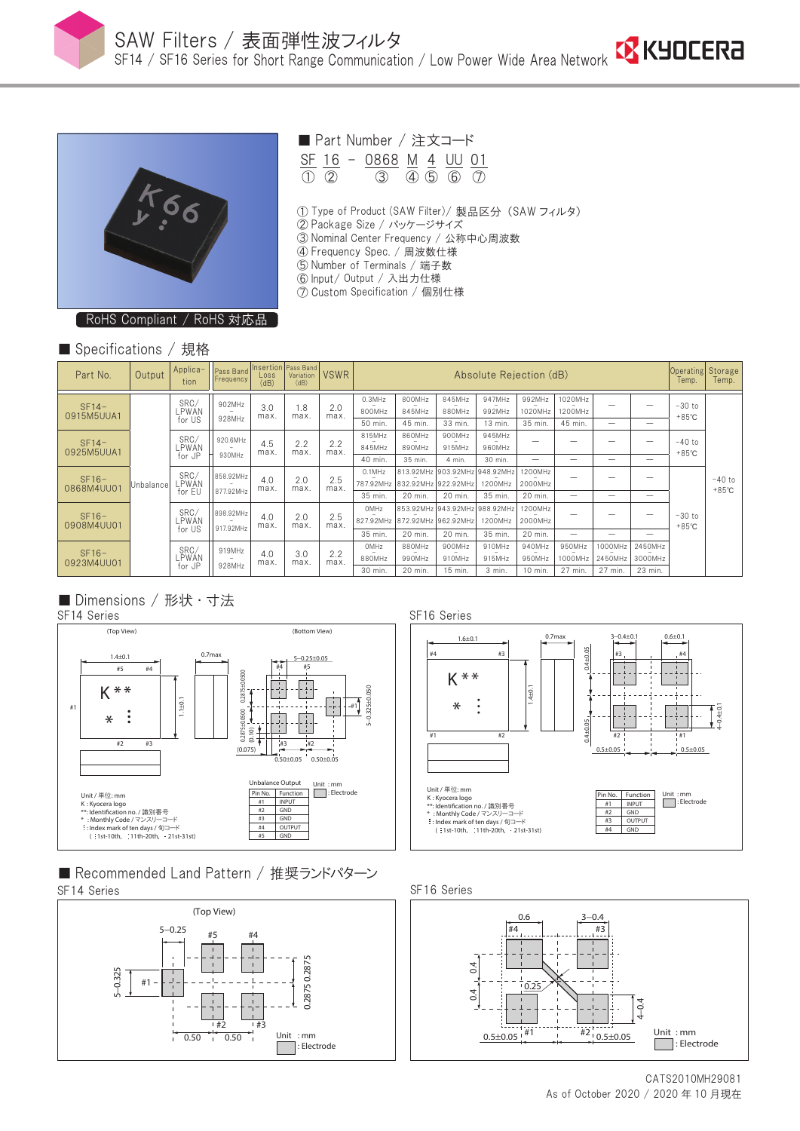



■ Part Number / 注文コード

 $\frac{\text{SF}}{\text{10}}$   $\frac{16}{\text{20}}$  -  $\frac{0.868}{\text{30}}$   $\frac{\text{M}}{\text{40}}$   $\frac{4}{\text{50}}$   $\frac{\text{UU}}{\text{60}}$   $\frac{0.11}{\text{10}}$  $\overline{(3)}$   $\overline{(4)}$   $\overline{(5)}$   $\overline{(6)}$   $\overline{(7)}$ 

- ① Type of Product (SAW Filter)/ 製品区分 (SAW フィルタ)
- ② Package Size / パッケージサイズ
- ③ Nominal Center Frequency / 公称中心周波数
- ④ Frequency Spec. / 周波数仕様
- ⑤ Number of Terminals / 端子数
- ⑥ Input/ Output / 入出力仕様
- ⑦ Custom Specification / 個別仕様

RoHS Compliant / RoHS 対応品

### ■ Specifications / 規格

| Part No.              | Output    | Applica-<br>tion        | Pass Band<br>Frequency | Loss<br>(dB) | Insertion Pass Band<br>Variation<br>(dB) | <b>VSWR</b>                | Absolute Rejection (dB) |                               |                               |                  |                    | Operating Storage<br>Temp. | Temp.                    |                          |                                                            |                             |
|-----------------------|-----------|-------------------------|------------------------|--------------|------------------------------------------|----------------------------|-------------------------|-------------------------------|-------------------------------|------------------|--------------------|----------------------------|--------------------------|--------------------------|------------------------------------------------------------|-----------------------------|
| $SF14-$<br>0915M5UUA1 | Unbalance | SRC/<br>LPWÁN<br>for US | 902MHz<br>928MHz       | 3.0<br>max.  | 1.8<br>max.<br>2.2<br>max.               | 2.0<br>max.<br>2.2<br>max. | $0.3$ MHz<br>800MHz     | 800MHz<br>845MHz              | 845MHz<br>880MHz              | 947MHz<br>992MHz | 992MHz<br>1020MHz  | 1020MHz<br>1200MHz         |                          | -                        | $-30$ to<br>$+85^{\circ}$ C<br>$-40$ to<br>$+85^{\circ}$ C | $-40$ to<br>$+85^{\circ}$ C |
|                       |           |                         |                        |              |                                          |                            | 50 min.                 | 45 min.                       | 33 min.                       | 13 min.          | 35 min.            | 45 min.                    | $\overline{\phantom{a}}$ | $\overline{\phantom{a}}$ |                                                            |                             |
| $SF14-$<br>0925M5UUA1 |           | SRC/<br>LPWAN           | 920.6MHz<br>930MHz     | 4.5<br>max.  |                                          |                            | 815MHz<br>845MHz        | 860MHz<br>890MHz              | 900MHz<br>915MHz              | 945MHz<br>960MHz | -                  | -                          |                          | $\overline{\phantom{a}}$ |                                                            |                             |
|                       |           | for JP                  |                        |              |                                          |                            | 40 min.                 | 35 min.                       | 4 min.                        | 30 min.          |                    | -                          | $\overline{\phantom{a}}$ |                          |                                                            |                             |
| $SF16-$<br>0868M4UU01 |           | SRC/<br>LPWAN           | 858.92MHz<br>877.92MHz | 4.0<br>max.  | 2.0<br>max.                              | 2.5<br>max.                | $0.1$ MHz<br>787.92MHz  | 832.92MHz 922.92MHz           | 813.92MHz 903.92MHz 948.92MHz | 1200MHz          | 1200MHz<br>2000MHz |                            | -                        | -                        | $-30$ to<br>$+85^{\circ}$ C                                |                             |
|                       |           | for EU                  |                        |              |                                          |                            | 35 min.                 | 20 min.                       | 20 min.                       | 35 min.          | 20 min.            | -                          |                          |                          |                                                            |                             |
| $SF16-$<br>0908M4UU01 |           | SRC/<br>LPWAN<br>for US | 898.92MHz<br>917.92MHz | 4.0<br>max.  | 2.0<br>max.                              | 2.5<br>max.                | OMHz                    | 827.92MHz 872.92MHz 962.92MHz | 853.92MHz 943.92MHz 988.92MHz | 1200MHz          | 1200MHz<br>2000MHz | -                          | -                        | $\overline{\phantom{0}}$ |                                                            |                             |
|                       |           |                         |                        |              |                                          |                            | 35 min.                 | 20 min.                       | 20 min.                       | 35 min.          | 20 min.            | -                          | -                        |                          |                                                            |                             |
|                       |           | SRC/<br>LPWAN<br>for JP | 919MHz<br>928MHz       | 4.0<br>max.  | 3.0<br>max.                              | 2.2<br>max.                | OMHz                    | 880MHz                        | 900MHz                        | 910MHz           | 940MHz             | 950MHz                     | 1000MHz                  | 2450MHz                  |                                                            |                             |
| $SF16-$<br>0923M4UU01 |           |                         |                        |              |                                          |                            | 880MHz                  | 990MHz                        | 910MHz                        | 915MHz           | 950MHz             | 1000MHz                    | 2450MHz                  | 3000MHz                  |                                                            |                             |
|                       |           |                         |                        |              |                                          |                            | 30 min.                 | 20 min.                       | 15 min.                       | 3 min.           | 10 min.            | 27 min.                    | 27 min.                  | 23 min.                  |                                                            |                             |

### ■ Dimensions / 形状 · 寸法



■ Recommended Land Pattern / 推奨ランドパターン SF14 Series SF16 Series







As of October 2020 / 2020 年 10 月現在 CATS2010MH29081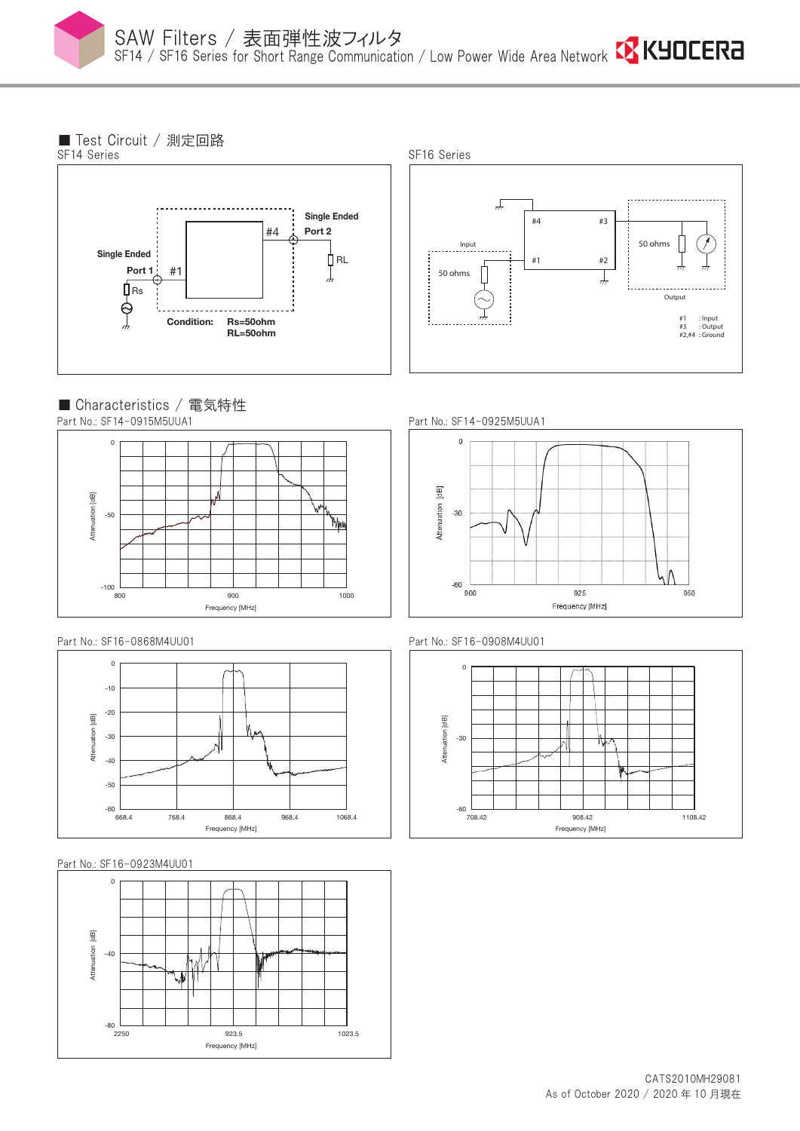

■ Test Circuit / 測定回路





■ Characteristics / 電気特性 Part No.: SF14-0915M5UUA1



Part No.: SF16-0868M4UU01



Part No.: SF16-0923M4UU01



Part No.: SF14-0925M5UUA1







As of October 2020 / 2020 年 10 月現在 CATS2010MH29081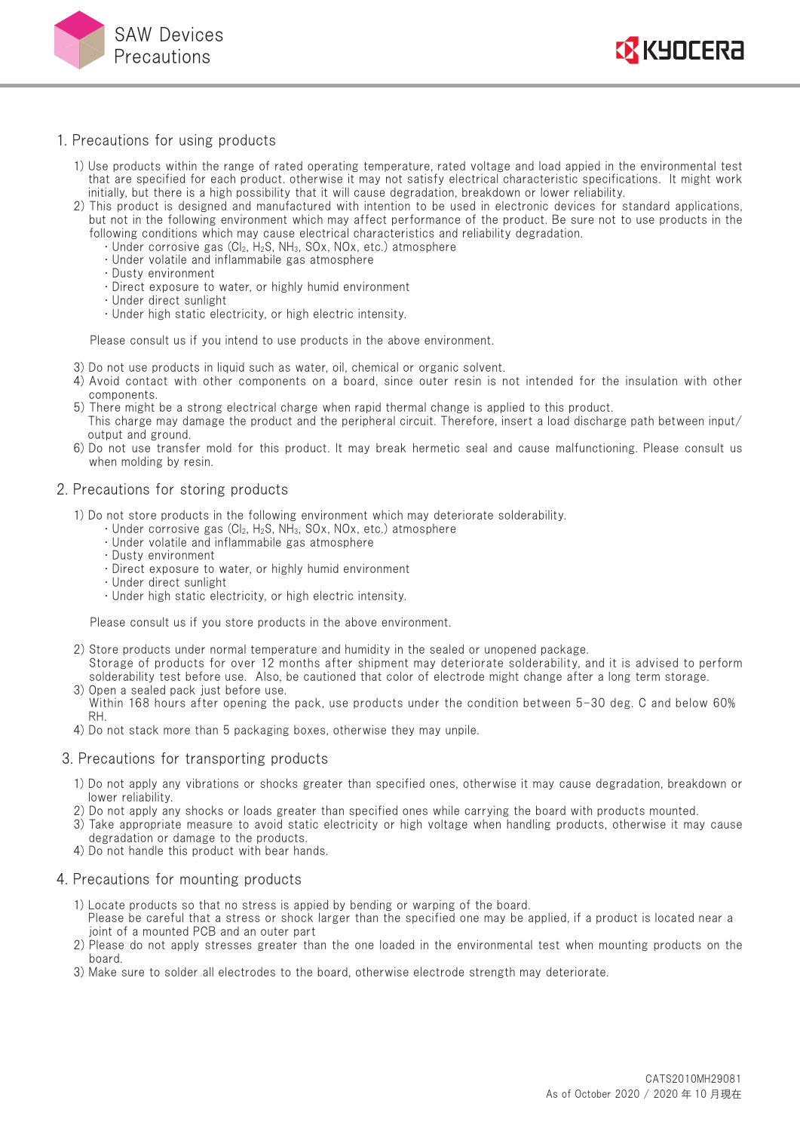



### 1. Precautions for using products

- 1) Use products within the range of rated operating temperature, rated voltage and load appied in the environmental test that are specified for each product. otherwise it may not satisfy electrical characteristic specifications. It might work initially, but there is a high possibility that it will cause degradation, breakdown or lower reliability.
- 2) This product is designed and manufactured with intention to be used in electronic devices for standard applications, but not in the following environment which may affect performance of the product. Be sure not to use products in the following conditions which may cause electrical characteristics and reliability degradation.
	- $\cdot$  Under corrosive gas (Cl<sub>2</sub>, H<sub>2</sub>S, NH<sub>3</sub>, SOx, NOx, etc.) atmosphere
	- ・ Under volatile and inflammabile gas atmosphere
	- ・ Dusty environment
	- ・ Direct exposure to water, or highly humid environment
	- ・ Under direct sunlight
	- ・ Under high static electricity, or high electric intensity.

Please consult us if you intend to use products in the above environment.

- 3) Do not use products in liquid such as water, oil, chemical or organic solvent.
- 4) Avoid contact with other components on a board, since outer resin is not intended for the insulation with other components.
- 5) There might be a strong electrical charge when rapid thermal change is applied to this product.
- This charge may damage the product and the peripheral circuit. Therefore, insert a load discharge path between input/ output and ground.
- 6) Do not use transfer mold for this product. It may break hermetic seal and cause malfunctioning. Please consult us when molding by resin.

#### 2. Precautions for storing products

- 1) Do not store products in the following environment which may deteriorate solderability.
	- $\cdot$  Under corrosive gas (Cl<sub>2</sub>, H<sub>2</sub>S, NH<sub>3</sub>, SOx, NOx, etc.) atmosphere
	- ・ Under volatile and inflammabile gas atmosphere
	- ・ Dusty environment
	- ・ Direct exposure to water, or highly humid environment
	- ・ Under direct sunlight
	- ・ Under high static electricity, or high electric intensity.

Please consult us if you store products in the above environment.

- 2) Store products under normal temperature and humidity in the sealed or unopened package. Storage of products for over 12 months after shipment may deteriorate solderability, and it is advised to perform solderability test before use. Also, be cautioned that color of electrode might change after a long term storage.
- 3) Open a sealed pack just before use. Within 168 hours after opening the pack, use products under the condition between 5-30 deg. C and below 60% RH.
- 4) Do not stack more than 5 packaging boxes, otherwise they may unpile.

#### 3. Precautions for transporting products

- 1) Do not apply any vibrations or shocks greater than specified ones, otherwise it may cause degradation, breakdown or lower reliability.
- 2) Do not apply any shocks or loads greater than specified ones while carrying the board with products mounted.
- 3) Take appropriate measure to avoid static electricity or high voltage when handling products, otherwise it may cause degradation or damage to the products.
- 4) Do not handle this product with bear hands.

#### 4. Precautions for mounting products

- 1) Locate products so that no stress is appied by bending or warping of the board.
- Please be careful that a stress or shock larger than the specified one may be applied, if a product is located near a joint of a mounted PCB and an outer part
- 2) Please do not apply stresses greater than the one loaded in the environmental test when mounting products on the board.
- 3) Make sure to solder all electrodes to the board, otherwise electrode strength may deteriorate.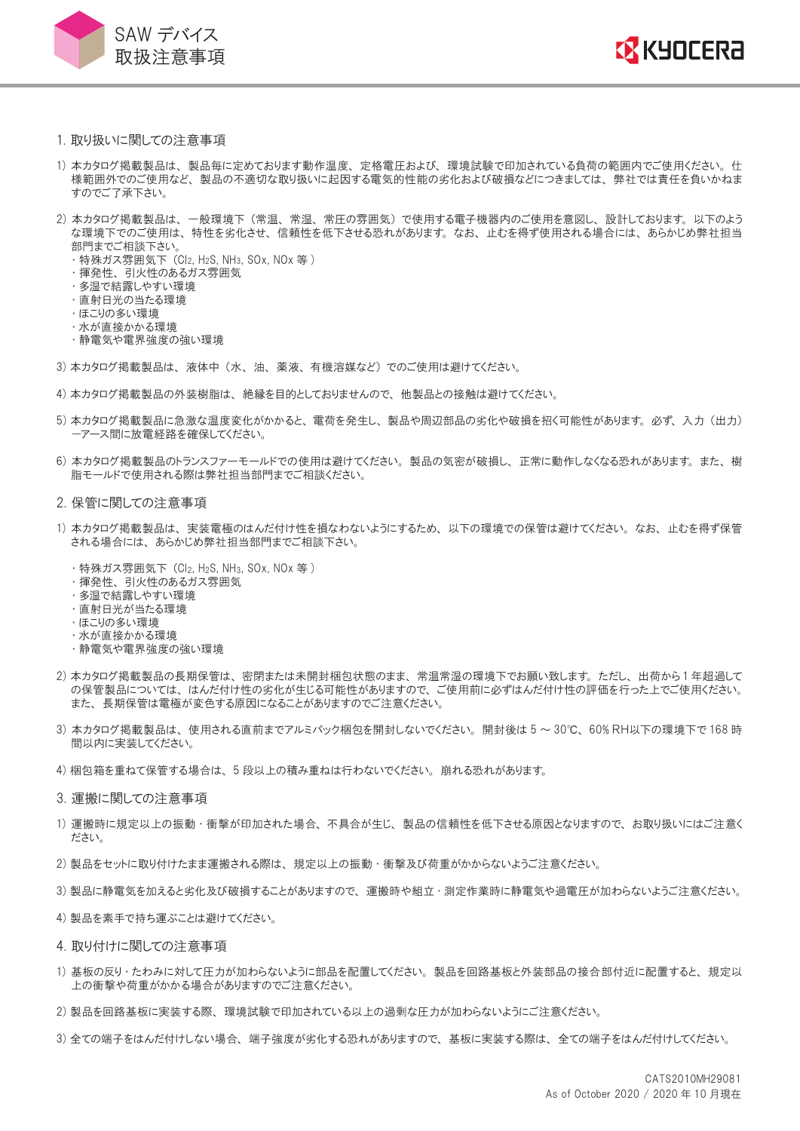



- 1. 取り扱いに関しての注意事項
- 1) 本カタログ掲載製品は、 製品毎に定めております動作温度、 定格電圧および、 環境試験で印加されている負荷の範囲内でご使用ください。 仕 様範囲外でのご使用など、 製品の不適切な取り扱いに起因する電気的性能の劣化および破損などにつきましては、 弊社では責任を負いかねま すのでご了承下さい。
- 2) 本カタログ掲載製品は、 一般環境下 (常温、 常湿、 常圧の雰囲気) で使用する電子機器内のご使用を意図し、 設計しております。 以下のよう な環境下でのご使用は、 特性を劣化させ、 信頼性を低下させる恐れがあります。 なお、 止むを得ず使用される場合には、 あらかじめ弊社担当 部門までご相談下さい。
	- ・ 特殊ガス雰囲気下 (Cl2, H2S, NH3, SOx, NOx 等 )
	- ・ 揮発性、 引火性のあるガス雰囲気
	- ・ 多湿で結露しやすい環境
	- ・ 直射日光の当たる環境
	- ・ ほこりの多い環境
	- ・水が直接かかる環境
	- ・ 静電気や電界強度の強い環境
- 3) 本カタログ掲載製品は、 液体中 (水、 油、 薬液、 有機溶媒など) でのご使用は避けてください。
- 4) 本カタログ掲載製品の外装樹脂は、 絶縁を目的としておりませんので、 他製品との接触は避けてください。
- 5) 本カタログ掲載製品に急激な温度変化がかかると、 電荷を発生し、 製品や周辺部品の劣化や破損を招く可能性があります。 必ず、 入力 (出力) -アース間に放電経路を確保してください。
- 6) 本カタログ掲載製品のトランスファーモールドでの使用は避けてください。 製品の気密が破損し、 正常に動作しなくなる恐れがあります。 また、 樹 脂モールドで使用される際は弊社担当部門までご相談ください。
- 2. 保管に関しての注意事項
- 1) 本カタログ掲載製品は、 実装電極のはんだ付け性を損なわないようにするため、 以下の環境での保管は避けてください。 なお、 止むを得ず保管 される場合には、 あらかじめ弊社担当部門までご相談下さい。
	- ・ 特殊ガス雰囲気下 (Cl2, H2S, NH3, SOx, NOx 等 )
	- ・ 揮発性、 引火性のあるガス雰囲気
	- ・ 多湿で結露しやすい環境
	- ・ 直射日光が当たる環境
	- ・ ほこりの多い環境
	- ・水が直接かかる環境
	- ・ 静電気や電界強度の強い環境
- 2) 本カタログ掲載製品の長期保管は、 密閉または未開封梱包状態のまま、 常温常湿の環境下でお願い致します。 ただし、 出荷から1 年超過して の保管製品については、 はんだ付け性の劣化が生じる可能性がありますので、 ご使用前に必ずはんだ付け性の評価を行った上でご使用ください。 また、 長期保管は電極が変色する原因になることがありますのでご注意ください。
- 3) 本カタログ掲載製品は、 使用される直前までアルミパック梱包を開封しないでください。 開封後は 5 ~ 30℃、 60% RH以下の環境下で 168 時 間以内に実装してください。
- 4) 梱包箱を重ねて保管する場合は、 5 段以上の積み重ねは行わないでください。 崩れる恐れがあります。
- 3. 運搬に関しての注意事項
- 1) 運搬時に規定以上の振動 ・ 衝撃が印加された場合、 不具合が生じ、 製品の信頼性を低下させる原因となりますので、 お取り扱いにはご注意く ださい。
- 2) 製品をセットに取り付けたまま運搬される際は、 規定以上の振動 ・ 衝撃及び荷重がかからないようご注意ください。
- 3) 製品に静電気を加えると劣化及び破損することがありますので、 運搬時や組立・測定作業時に静電気や過電圧が加わらないようご注意ください。
- 4) 製品を素手で持ち運ぶことは避けてください。
- 4. 取り付けに関しての注意事項
- 1) 基板の反り ・ たわみに対して圧力が加わらないように部品を配置してください。 製品を回路基板と外装部品の接合部付近に配置すると、 規定以 上の衝撃や荷重がかかる場合がありますのでご注意ください。
- 2) 製品を回路基板に実装する際、 環境試験で印加されている以上の過剰な圧力が加わらないようにご注意ください。
- 3) 全ての端子をはんだ付けしない場合、 端子強度が劣化する恐れがありますので、 基板に実装する際は、 全ての端子をはんだ付けしてください。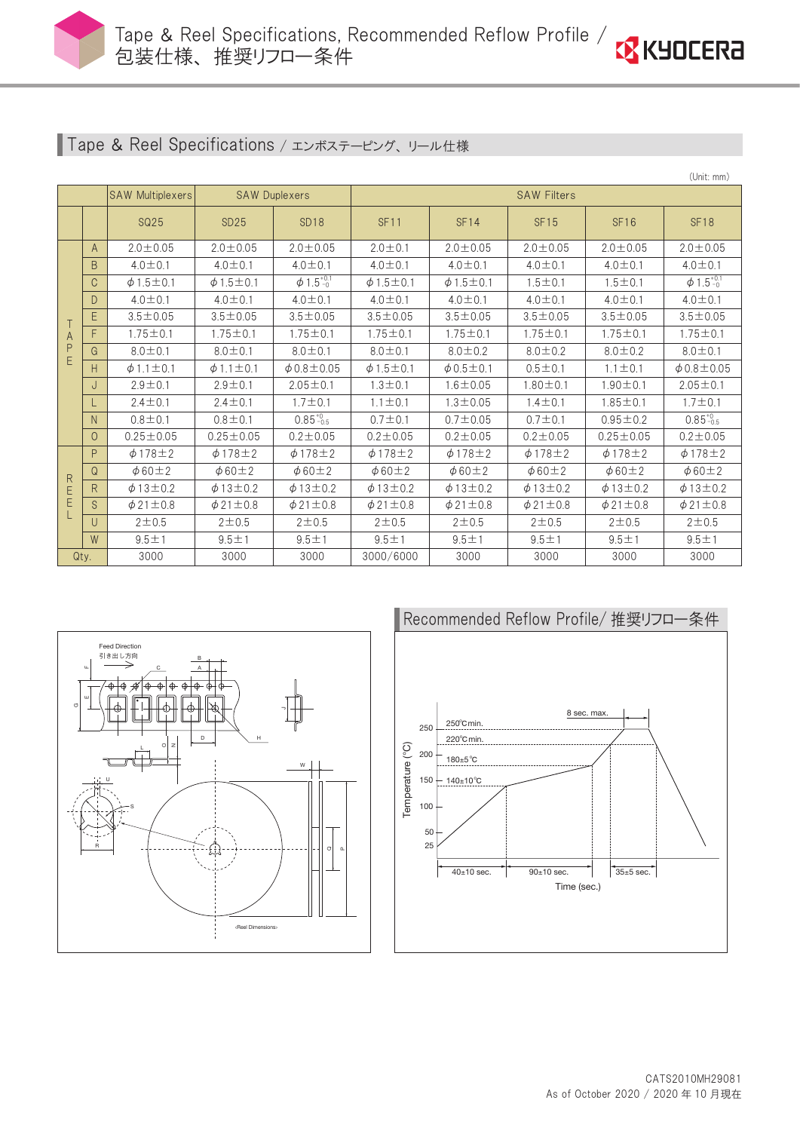



## Tape & Reel Specifications / エンボステーピング、リール仕様

|                   |         |                         |                      |                            |                    |                      |                    |                   | (Unit: mm)                 |  |  |
|-------------------|---------|-------------------------|----------------------|----------------------------|--------------------|----------------------|--------------------|-------------------|----------------------------|--|--|
|                   |         | <b>SAW Multiplexers</b> | <b>SAW Duplexers</b> |                            | <b>SAW Filters</b> |                      |                    |                   |                            |  |  |
|                   |         | <b>SQ25</b>             | <b>SD25</b>          | SD <sub>18</sub>           | <b>SF11</b>        | SF14                 | <b>SF15</b>        | <b>SF16</b>       | <b>SF18</b>                |  |  |
| A<br>P<br>E       | A       | $2.0 \pm 0.05$          | $2.0 \pm 0.05$       | $2.0 \pm 0.05$             | $2.0 \pm 0.1$      | $2.0 \pm 0.05$       | $2.0 \pm 0.05$     | $2.0 \pm 0.05$    | $2.0 \pm 0.05$             |  |  |
|                   | B       | $4.0 \pm 0.1$           | $4.0 \pm 0.1$        | $4.0 \pm 0.1$              | $4.0 \pm 0.1$      | $4.0 \pm 0.1$        | $4.0 \pm 0.1$      | $4.0 \pm 0.1$     | $4.0 \pm 0.1$              |  |  |
|                   | C       | $\phi$ 1.5 $\pm$ 0.1    | $\phi$ 1.5 ± 0.1     | $\phi$ 1.5 <sup>+0.1</sup> | $\phi$ 1.5 ± 0.1   | $\phi$ 1.5 ± 0.1     | $1.5 \pm 0.1$      | $1.5 \pm 0.1$     | $\phi$ 1.5 <sup>+0.1</sup> |  |  |
|                   | D.      | $4.0 \pm 0.1$           | $4.0 \pm 0.1$        |                            | $4.0 \pm 0.1$      | $4.0 \pm 0.1$        | $4.0 \pm 0.1$      | $4.0 \pm 0.1$     | $4.0 \pm 0.1$              |  |  |
|                   | E       | $3.5 \pm 0.05$          | $3.5 \pm 0.05$       | $3.5 \pm 0.05$             | $3.5 \pm 0.05$     | $3.5 \pm 0.05$       | $3.5 \pm 0.05$     | $3.5 \pm 0.05$    | $3.5 \pm 0.05$             |  |  |
|                   | F       | $1.75 \pm 0.1$          | $1.75 \pm 0.1$       | $1.75 \pm 0.1$             | $1.75 \pm 0.1$     | $1.75 \pm 0.1$       | $1.75 \pm 0.1$     | $1.75 \pm 0.1$    | $1.75 \pm 0.1$             |  |  |
|                   | G       | $8.0 \pm 0.1$           | $8.0 \pm 0.1$        | $8.0 \pm 0.1$              | $8.0 \pm 0.1$      | $8.0 \pm 0.2$        | $8.0 \pm 0.2$      | $8.0 \pm 0.2$     | $8.0 \pm 0.1$              |  |  |
|                   | Н       | $\phi$ 1.1 $\pm$ 0.1    | $\phi$ 1.1 $\pm$ 0.1 | $\phi$ 0.8 $\pm$ 0.05      | $\phi$ 1.5 ± 0.1   | $\phi$ 0.5 $\pm$ 0.1 | $0.5 \pm 0.1$      | $1.1 \pm 0.1$     | $\phi$ 0.8±0.05            |  |  |
|                   | J       | $2.9 \pm 0.1$           | $2.9 \pm 0.1$        | $2.05 \pm 0.1$             | $1.3 \pm 0.1$      | $1.6 \pm 0.05$       | $1.80 \pm 0.1$     | $1.90 \pm 0.1$    | $2.05 \pm 0.1$             |  |  |
|                   |         | $2.4 \pm 0.1$           | $2.4 \pm 0.1$        | $1.7 \pm 0.1$              | $1.1 \pm 0.1$      | $1.3 \pm 0.05$       | $1.4 \pm 0.1$      | $1.85 \pm 0.1$    | $1.7 \pm 0.1$              |  |  |
|                   | N.      | $0.8 \pm 0.1$           | $0.8 \pm 0.1$        | $0.85^{+0}_{-0.5}$         | $0.7 + 0.1$        | $0.7 \pm 0.05$       | $0.7 \pm 0.1$      | $0.95 \pm 0.2$    | $0.85^{+0}_{-0.5}$         |  |  |
|                   | $\circ$ | $0.25 \pm 0.05$         | $0.25 \pm 0.05$      | $0.2 \pm 0.05$             | $0.2 \pm 0.05$     | $0.2 + 0.05$         | $0.2 \pm 0.05$     | $0.25 \pm 0.05$   | $0.2 \pm 0.05$             |  |  |
| $\mathsf{R}$<br>E | P       | $\phi$ 178 $\pm$ 2      | $\phi$ 178 $\pm$ 2   | $\phi$ 178 $\pm$ 2         | $\phi$ 178 $\pm$ 2 | $\phi$ 178 $\pm$ 2   | $\phi$ 178 $\pm$ 2 | $\phi$ 178±2      | $\phi$ 178 $\pm$ 2         |  |  |
|                   | Q       | $\phi$ 60 $\pm$ 2       | $\phi$ 60 $\pm$ 2    | $\phi$ 60 $\pm$ 2          | $\phi$ 60±2        | $\phi$ 60 $\pm$ 2    | $\phi$ 60 $\pm$ 2  | $\phi$ 60 $\pm$ 2 | $\phi$ 60 $\pm$ 2          |  |  |
|                   | R.      | $\phi$ 13±0.2           | $\phi$ 13±0.2        | $\phi$ 13±0.2              | $\phi$ 13±0.2      | $\phi$ 13±0.2        | $\phi$ 13±0.2      | $\phi$ 13±0.2     | $\phi$ 13±0.2              |  |  |
|                   | S       | $\phi$ 21 ± 0.8         | $\phi$ 21±0.8        | $\phi$ 21 ± 0.8            | $\phi$ 21±0.8      | $\phi$ 21 ± 0.8      | $\phi$ 21 ± 0.8    | $\phi$ 21 ± 0.8   | $\phi$ 21 ± 0.8            |  |  |
|                   | U       | $2 + 0.5$               | $2 + 0.5$            | $2 + 0.5$                  | $2 + 0.5$          | $2 + 0.5$            | $2 + 0.5$          | $2 + 0.5$         | $2 + 0.5$                  |  |  |
|                   | W       | $9.5 + 1$               | $9.5 + 1$            | $9.5 + 1$                  | $9.5 + 1$          | $9.5 + 1$            | $9.5 + 1$          | $9.5 + 1$         | $9.5 + 1$                  |  |  |
|                   | Qty.    | 3000<br>3000            |                      | 3000                       | 3000/6000          | 3000                 | 3000               | 3000              | 3000                       |  |  |



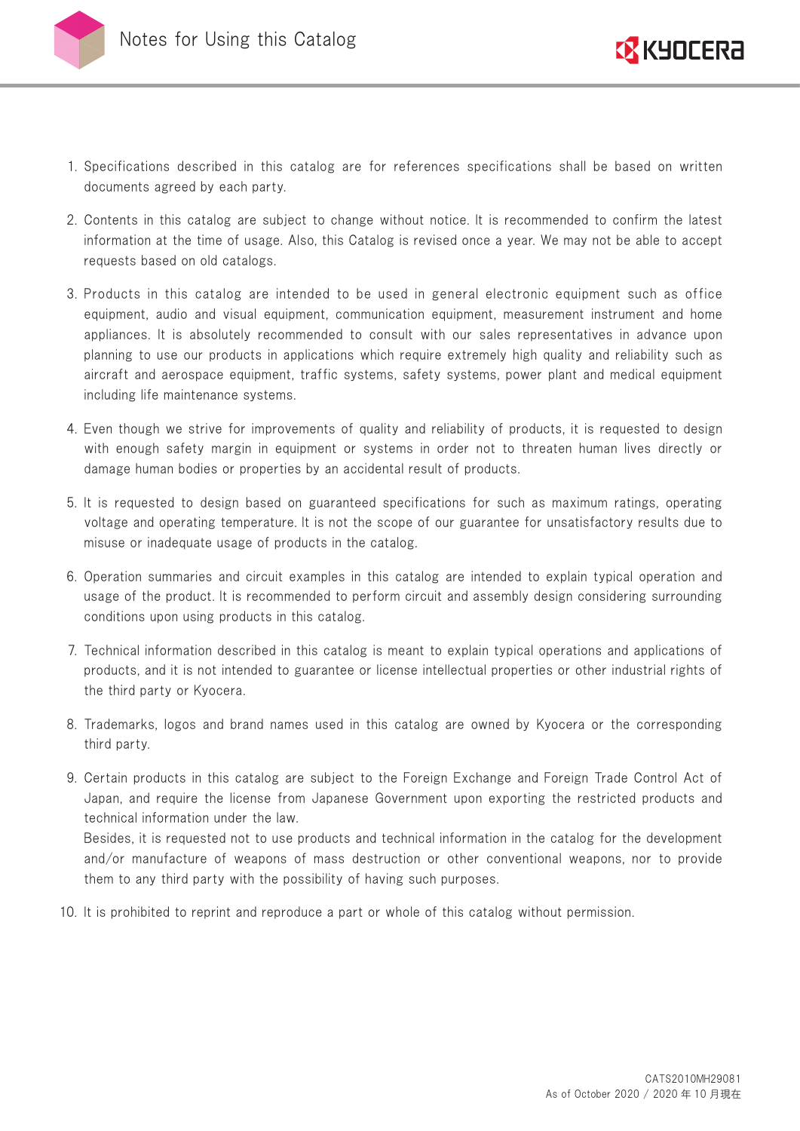



- 1. Specifications described in this catalog are for references specifications shall be based on written documents agreed by each party.
- 2. Contents in this catalog are subject to change without notice. It is recommended to confirm the latest information at the time of usage. Also, this Catalog is revised once a year. We may not be able to accept requests based on old catalogs.
- 3. Products in this catalog are intended to be used in general electronic equipment such as office equipment, audio and visual equipment, communication equipment, measurement instrument and home appliances. It is absolutely recommended to consult with our sales representatives in advance upon planning to use our products in applications which require extremely high quality and reliability such as aircraft and aerospace equipment, traffic systems, safety systems, power plant and medical equipment including life maintenance systems.
- 4. Even though we strive for improvements of quality and reliability of products, it is requested to design with enough safety margin in equipment or systems in order not to threaten human lives directly or damage human bodies or properties by an accidental result of products.
- 5. It is requested to design based on guaranteed specifications for such as maximum ratings, operating voltage and operating temperature. It is not the scope of our guarantee for unsatisfactory results due to misuse or inadequate usage of products in the catalog.
- 6. Operation summaries and circuit examples in this catalog are intended to explain typical operation and usage of the product. It is recommended to perform circuit and assembly design considering surrounding conditions upon using products in this catalog.
- 7. Technical information described in this catalog is meant to explain typical operations and applications of products, and it is not intended to guarantee or license intellectual properties or other industrial rights of the third party or Kyocera.
- 8. Trademarks, logos and brand names used in this catalog are owned by Kyocera or the corresponding third party.
- 9. Certain products in this catalog are subject to the Foreign Exchange and Foreign Trade Control Act of Japan, and require the license from Japanese Government upon exporting the restricted products and technical information under the law.

Besides, it is requested not to use products and technical information in the catalog for the development and/or manufacture of weapons of mass destruction or other conventional weapons, nor to provide them to any third party with the possibility of having such purposes.

10. It is prohibited to reprint and reproduce a part or whole of this catalog without permission.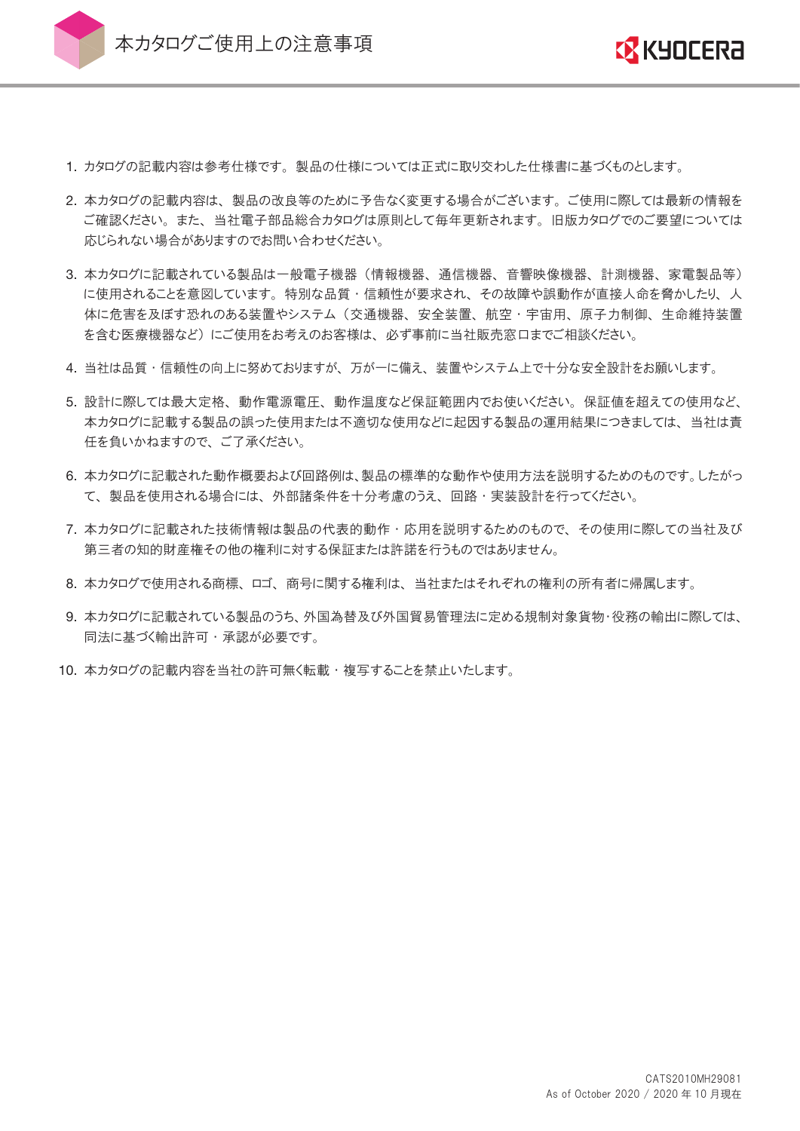

本カタログご使用上の注意事項



- 1. カタログの記載内容は参考仕様です。 製品の仕様については正式に取り交わした仕様書に基づくものとします。
- 2. 本カタログの記載内容は、 製品の改良等のために予告なく変更する場合がございます。 ご使用に際しては最新の情報を ご確認ください。 また、 当社電子部品総合カタログは原則として毎年更新されます。 旧版カタログでのご要望については 応じられない場合がありますのでお問い合わせください。
- 3. 本カタログに記載されている製品は一般電子機器 (情報機器、 通信機器、 音響映像機器、 計測機器、 家電製品等) に使用されることを意図しています。 特別な品質 ・ 信頼性が要求され、 その故障や誤動作が直接人命を脅かしたり、 人 体に危害を及ぼす恐れのある装置やシステム (交通機器、 安全装置、 航空 ・ 宇宙用、 原子力制御、 生命維持装置 を含む医療機器など) にご使用をお考えのお客様は、 必ず事前に当社販売窓口までご相談ください。
- 4. 当社は品質 ・ 信頼性の向上に努めておりますが、 万が一に備え、 装置やシステム上で十分な安全設計をお願いします。
- 5. 設計に際しては最大定格、 動作電源電圧、 動作温度など保証範囲内でお使いください。 保証値を超えての使用など、 本カタログに記載する製品の誤った使用または不適切な使用などに起因する製品の運用結果につきましては、 当社は責 任を負いかねますので、 ご了承ください。
- 6. 本カタログに記載された動作概要および回路例は、製品の標準的な動作や使用方法を説明するためのものです。したがっ て、 製品を使用される場合には、 外部諸条件を十分考慮のうえ、 回路 ・ 実装設計を行ってください。
- 7. 本カタログに記載された技術情報は製品の代表的動作 ・ 応用を説明するためのもので、 その使用に際しての当社及び 第三者の知的財産権その他の権利に対する保証または許諾を行うものではありません。
- 8. 本カタログで使用される商標、 ロゴ、 商号に関する権利は、 当社またはそれぞれの権利の所有者に帰属します。
- 9. 本カタログに記載されている製品のうち、外国為替及び外国貿易管理法に定める規制対象貨物・役務の輸出に際しては、 同法に基づく輸出許可・承認が必要です。
- 10. 本カタログの記載内容を当社の許可無く転載 ・ 複写することを禁止いたします。